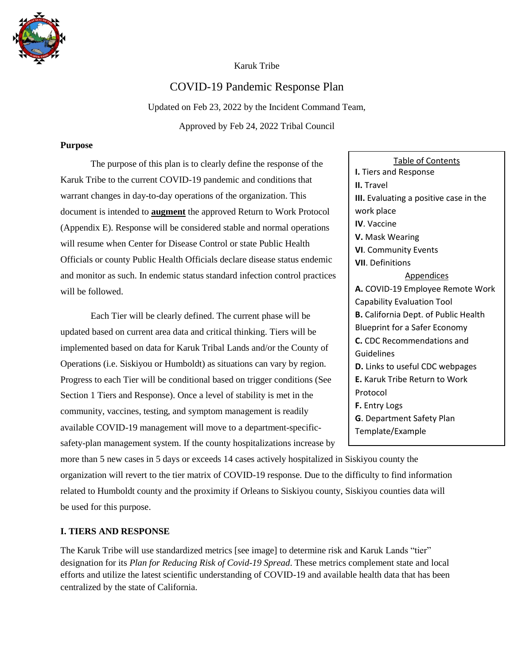

Karuk Tribe

# COVID-19 Pandemic Response Plan

Updated on Feb 23, 2022 by the Incident Command Team,

Approved by Feb 24, 2022 Tribal Council

#### **Purpose**

The purpose of this plan is to clearly define the response of the Karuk Tribe to the current COVID-19 pandemic and conditions that warrant changes in day-to-day operations of the organization. This document is intended to **augment** the approved Return to Work Protocol (Appendix E). Response will be considered stable and normal operations will resume when Center for Disease Control or state Public Health Officials or county Public Health Officials declare disease status endemic and monitor as such. In endemic status standard infection control practices will be followed.

Each Tier will be clearly defined. The current phase will be updated based on current area data and critical thinking. Tiers will be implemented based on data for Karuk Tribal Lands and/or the County of Operations (i.e. Siskiyou or Humboldt) as situations can vary by region. Progress to each Tier will be conditional based on trigger conditions (See Section 1 Tiers and Response). Once a level of stability is met in the community, vaccines, testing, and symptom management is readily available COVID-19 management will move to a department-specificsafety-plan management system. If the county hospitalizations increase by

Table of Contents **I.** Tiers and Response **II.** Travel **III.** Evaluating a positive case in the work place **IV**. Vaccine **V.** Mask Wearing **VI**. Community Events **VII**. Definitions Appendices **A.** COVID-19 Employee Remote Work Capability Evaluation Tool **B.** California Dept. of Public Health Blueprint for a Safer Economy **C.** CDC Recommendations and Guidelines **D.** Links to useful CDC webpages **E.** Karuk Tribe Return to Work Protocol **F.** Entry Logs **G**. Department Safety Plan Template/Example

more than 5 new cases in 5 days or exceeds 14 cases actively hospitalized in Siskiyou county the organization will revert to the tier matrix of COVID-19 response. Due to the difficulty to find information related to Humboldt county and the proximity if Orleans to Siskiyou county, Siskiyou counties data will be used for this purpose.

### **I. TIERS AND RESPONSE**

The Karuk Tribe will use standardized metrics [see image] to determine risk and Karuk Lands "tier" designation for its *Plan for Reducing Risk of Covid-19 Spread*. These metrics complement state and local efforts and utilize the latest scientific understanding of COVID-19 and available health data that has been centralized by the state of California.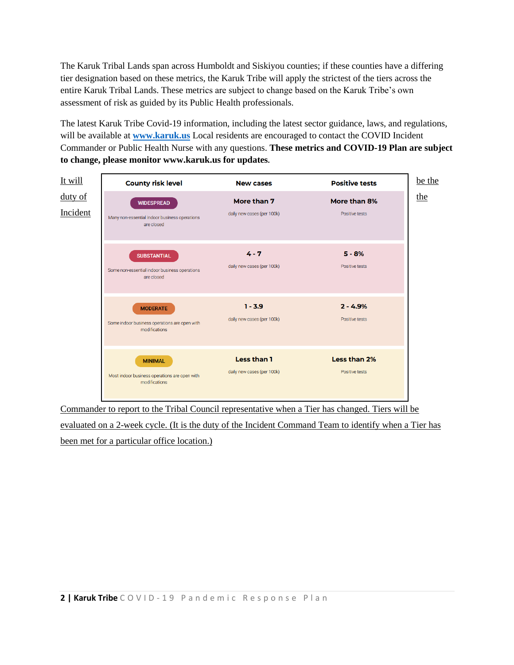The Karuk Tribal Lands span across Humboldt and Siskiyou counties; if these counties have a differing tier designation based on these metrics, the Karuk Tribe will apply the strictest of the tiers across the entire Karuk Tribal Lands. These metrics are subject to change based on the Karuk Tribe's own assessment of risk as guided by its Public Health professionals.

The latest Karuk Tribe Covid-19 information, including the latest sector guidance, laws, and regulations, will be available at **[www.karuk.us](http://www.karuk.us/)** Local residents are encouraged to contact the COVID Incident Commander or Public Health Nurse with any questions. **These metrics and COVID-19 Plan are subject to change, please monitor www.karuk.us for updates.**



Commander to report to the Tribal Council representative when a Tier has changed. Tiers will be evaluated on a 2-week cycle. (It is the duty of the Incident Command Team to identify when a Tier has been met for a particular office location.)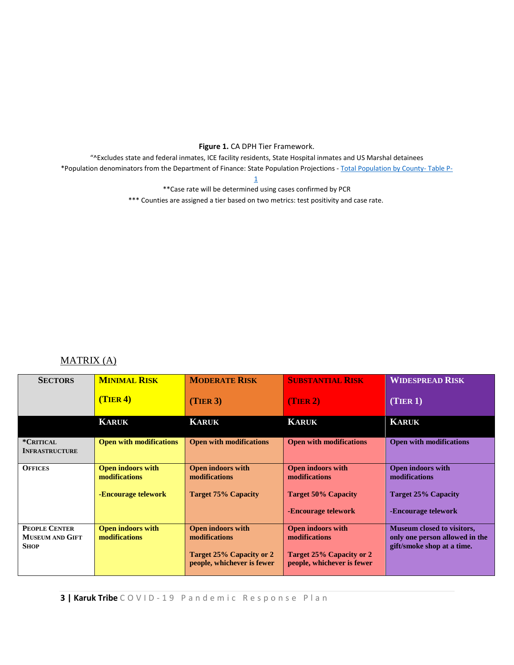**Figure 1.** CA DPH Tier Framework.

"^Excludes state and federal inmates, ICE facility residents, State Hospital inmates and US Marshal detainees \*Population denominators from the Department of Finance: State Population Projections - [Total Population by County-](http://www.dof.ca.gov/Forecasting/Demographics/Projections/) Table P-

[1](http://www.dof.ca.gov/Forecasting/Demographics/Projections/)

\*\*Case rate will be determined using cases confirmed by PCR

\*\*\* Counties are assigned a tier based on two metrics: test positivity and case rate.

## MATRIX (A)

| <b>SECTORS</b>                                                | <b>MINIMAL RISK</b>                       | <b>MODERATE RISK</b>                                   | <b>SUBSTANTIAL RISK</b>                                | <b>WIDESPREAD RISK</b>                                                                            |
|---------------------------------------------------------------|-------------------------------------------|--------------------------------------------------------|--------------------------------------------------------|---------------------------------------------------------------------------------------------------|
|                                                               | (TIER 4)                                  | (TIER 3)                                               | (TIER <sub>2</sub> )                                   | (TIER 1)                                                                                          |
|                                                               | <b>KARUK</b>                              | <b>KARUK</b>                                           | <b>KARUK</b>                                           | <b>KARUK</b>                                                                                      |
| *CRITICAL<br><b>INFRASTRUCTURE</b>                            | <b>Open with modifications</b>            | <b>Open with modifications</b>                         | <b>Open with modifications</b>                         | <b>Open with modifications</b>                                                                    |
| <b>OFFICES</b>                                                | <b>Open indoors with</b><br>modifications | <b>Open indoors with</b><br>modifications              | Open indoors with<br>modifications                     | Open indoors with<br>modifications                                                                |
|                                                               | -Encourage telework                       | <b>Target 75% Capacity</b>                             | <b>Target 50% Capacity</b>                             | <b>Target 25% Capacity</b>                                                                        |
|                                                               |                                           |                                                        | -Encourage telework                                    | -Encourage telework                                                                               |
| <b>PEOPLE CENTER</b><br><b>MUSEUM AND GIFT</b><br><b>SHOP</b> | <b>Open indoors with</b><br>modifications | <b>Open indoors with</b><br>modifications              | <b>Open indoors with</b><br>modifications              | <b>Museum closed to visitors,</b><br>only one person allowed in the<br>gift/smoke shop at a time. |
|                                                               |                                           | Target 25% Capacity or 2<br>people, whichever is fewer | Target 25% Capacity or 2<br>people, whichever is fewer |                                                                                                   |

**3 | Karuk Tribe** COVID - 19 Pandemic Response Plan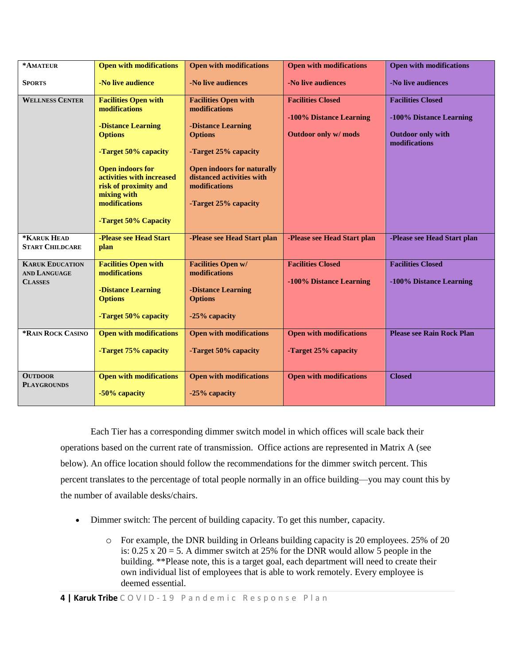| *AMATEUR                                                 | <b>Open with modifications</b>                                                                                                                                                                                                                        | <b>Open with modifications</b>                                                                                                                                                                                          | <b>Open with modifications</b>                                              | <b>Open with modifications</b>                                                                   |
|----------------------------------------------------------|-------------------------------------------------------------------------------------------------------------------------------------------------------------------------------------------------------------------------------------------------------|-------------------------------------------------------------------------------------------------------------------------------------------------------------------------------------------------------------------------|-----------------------------------------------------------------------------|--------------------------------------------------------------------------------------------------|
| <b>SPORTS</b>                                            | -No live audience                                                                                                                                                                                                                                     | -No live audiences                                                                                                                                                                                                      | -No live audiences                                                          | -No live audiences                                                                               |
| <b>WELLNESS CENTER</b>                                   | <b>Facilities Open with</b><br>modifications<br>-Distance Learning<br><b>Options</b><br>-Target 50% capacity<br><b>Open indoors for</b><br>activities with increased<br>risk of proximity and<br>mixing with<br>modifications<br>-Target 50% Capacity | <b>Facilities Open with</b><br>modifications<br>-Distance Learning<br><b>Options</b><br>-Target 25% capacity<br><b>Open indoors for naturally</b><br>distanced activities with<br>modifications<br>-Target 25% capacity | <b>Facilities Closed</b><br>-100% Distance Learning<br>Outdoor only w/ mods | <b>Facilities Closed</b><br>-100% Distance Learning<br><b>Outdoor only with</b><br>modifications |
| *KARUK HEAD<br><b>START CHILDCARE</b>                    | -Please see Head Start<br>plan                                                                                                                                                                                                                        | -Please see Head Start plan                                                                                                                                                                                             | -Please see Head Start plan                                                 | -Please see Head Start plan                                                                      |
| <b>KARUK EDUCATION</b><br>AND LANGUAGE<br><b>CLASSES</b> | <b>Facilities Open with</b><br>modifications<br>-Distance Learning<br><b>Options</b><br>-Target 50% capacity                                                                                                                                          | <b>Facilities Open w/</b><br>modifications<br>-Distance Learning<br><b>Options</b><br>-25% capacity                                                                                                                     | <b>Facilities Closed</b><br>-100% Distance Learning                         | <b>Facilities Closed</b><br>-100% Distance Learning                                              |
| *RAIN ROCK CASINO                                        | <b>Open with modifications</b><br>-Target 75% capacity                                                                                                                                                                                                | <b>Open with modifications</b><br>-Target 50% capacity                                                                                                                                                                  | <b>Open with modifications</b><br>-Target 25% capacity                      | <b>Please see Rain Rock Plan</b>                                                                 |
| <b>OUTDOOR</b><br><b>PLAYGROUNDS</b>                     | <b>Open with modifications</b><br>-50% capacity                                                                                                                                                                                                       | <b>Open with modifications</b><br>-25% capacity                                                                                                                                                                         | <b>Open with modifications</b>                                              | <b>Closed</b>                                                                                    |

Each Tier has a corresponding dimmer switch model in which offices will scale back their operations based on the current rate of transmission. Office actions are represented in Matrix A (see below). An office location should follow the recommendations for the dimmer switch percent. This percent translates to the percentage of total people normally in an office building—you may count this by the number of available desks/chairs.

- Dimmer switch: The percent of building capacity. To get this number, capacity.
	- o For example, the DNR building in Orleans building capacity is 20 employees. 25% of 20 is:  $0.25 \times 20 = 5$ . A dimmer switch at 25% for the DNR would allow 5 people in the building. \*\*Please note, this is a target goal, each department will need to create their own individual list of employees that is able to work remotely. Every employee is deemed essential.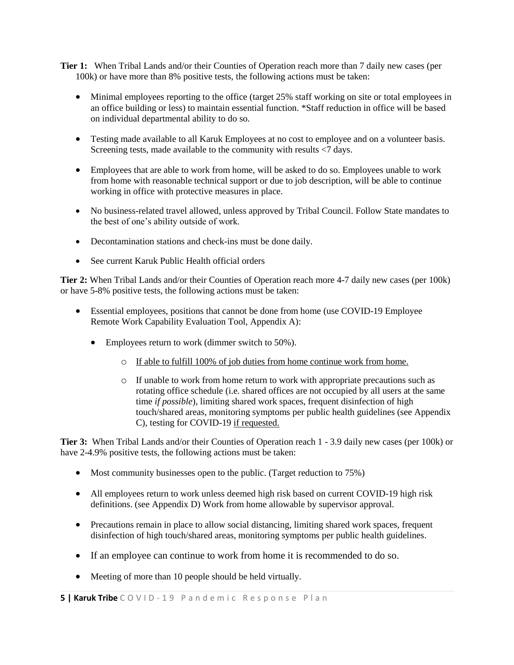- **Tier 1:** When Tribal Lands and/or their Counties of Operation reach more than 7 daily new cases (per 100k) or have more than 8% positive tests, the following actions must be taken:
	- Minimal employees reporting to the office (target 25% staff working on site or total employees in an office building or less) to maintain essential function. \*Staff reduction in office will be based on individual departmental ability to do so.
	- Testing made available to all Karuk Employees at no cost to employee and on a volunteer basis. Screening tests, made available to the community with results  $\langle 7 \text{ days.} \rangle$
	- Employees that are able to work from home, will be asked to do so. Employees unable to work from home with reasonable technical support or due to job description, will be able to continue working in office with protective measures in place.
	- No business-related travel allowed, unless approved by Tribal Council. Follow State mandates to the best of one's ability outside of work.
	- Decontamination stations and check-ins must be done daily.
	- See current Karuk Public Health official orders

**Tier 2:** When Tribal Lands and/or their Counties of Operation reach more 4-7 daily new cases (per 100k) or have 5-8% positive tests, the following actions must be taken:

- Essential employees, positions that cannot be done from home (use COVID-19 Employee Remote Work Capability Evaluation Tool, Appendix A):
	- Employees return to work (dimmer switch to 50%).
		- o If able to fulfill 100% of job duties from home continue work from home.
		- o If unable to work from home return to work with appropriate precautions such as rotating office schedule (i.e. shared offices are not occupied by all users at the same time *if possible*), limiting shared work spaces, frequent disinfection of high touch/shared areas, monitoring symptoms per public health guidelines (see Appendix C), testing for COVID-19 if requested.

**Tier 3:** When Tribal Lands and/or their Counties of Operation reach 1 - 3.9 daily new cases (per 100k) or have 2-4.9% positive tests, the following actions must be taken:

- Most community businesses open to the public. (Target reduction to 75%)
- All employees return to work unless deemed high risk based on current COVID-19 high risk definitions. (see Appendix D) Work from home allowable by supervisor approval.
- Precautions remain in place to allow social distancing, limiting shared work spaces, frequent disinfection of high touch/shared areas, monitoring symptoms per public health guidelines.
- If an employee can continue to work from home it is recommended to do so.
- Meeting of more than 10 people should be held virtually.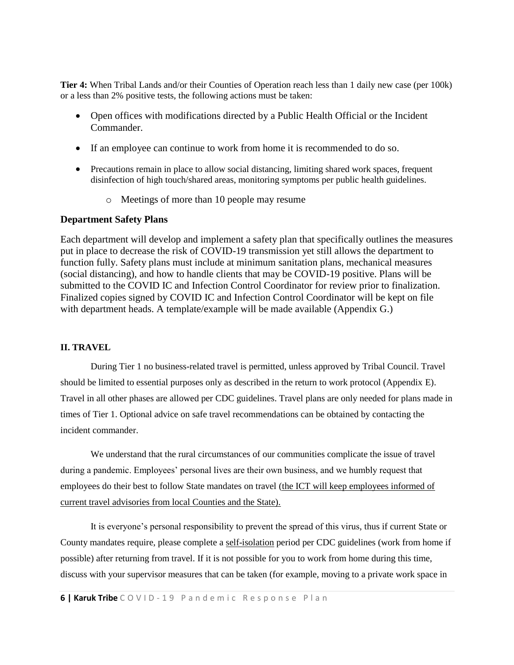**Tier 4:** When Tribal Lands and/or their Counties of Operation reach less than 1 daily new case (per 100k) or a less than 2% positive tests, the following actions must be taken:

- Open offices with modifications directed by a Public Health Official or the Incident Commander.
- If an employee can continue to work from home it is recommended to do so.
- Precautions remain in place to allow social distancing, limiting shared work spaces, frequent disinfection of high touch/shared areas, monitoring symptoms per public health guidelines.
	- o Meetings of more than 10 people may resume

#### **Department Safety Plans**

Each department will develop and implement a safety plan that specifically outlines the measures put in place to decrease the risk of COVID-19 transmission yet still allows the department to function fully. Safety plans must include at minimum sanitation plans, mechanical measures (social distancing), and how to handle clients that may be COVID-19 positive. Plans will be submitted to the COVID IC and Infection Control Coordinator for review prior to finalization. Finalized copies signed by COVID IC and Infection Control Coordinator will be kept on file with department heads. A template/example will be made available (Appendix G.)

#### **II. TRAVEL**

During Tier 1 no business-related travel is permitted, unless approved by Tribal Council. Travel should be limited to essential purposes only as described in the return to work protocol (Appendix E). Travel in all other phases are allowed per CDC guidelines. Travel plans are only needed for plans made in times of Tier 1. Optional advice on safe travel recommendations can be obtained by contacting the incident commander.

We understand that the rural circumstances of our communities complicate the issue of travel during a pandemic. Employees' personal lives are their own business, and we humbly request that employees do their best to follow State mandates on travel (the ICT will keep employees informed of current travel advisories from local Counties and the State).

It is everyone's personal responsibility to prevent the spread of this virus, thus if current State or County mandates require, please complete a self-isolation period per CDC guidelines (work from home if possible) after returning from travel. If it is not possible for you to work from home during this time, discuss with your supervisor measures that can be taken (for example, moving to a private work space in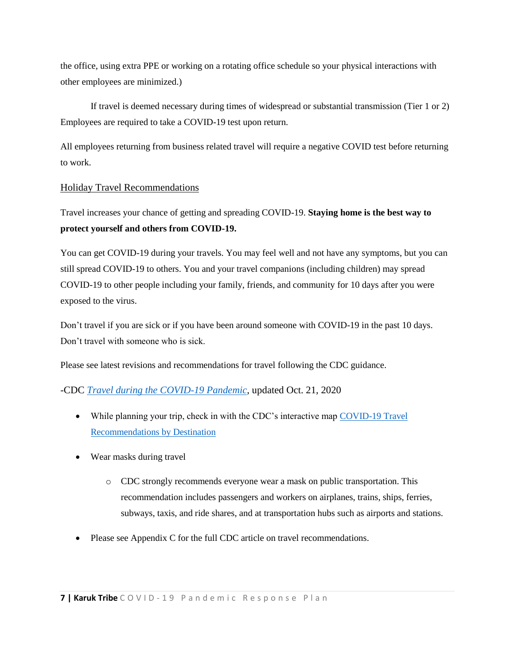the office, using extra PPE or working on a rotating office schedule so your physical interactions with other employees are minimized.)

If travel is deemed necessary during times of widespread or substantial transmission (Tier 1 or 2) Employees are required to take a COVID-19 test upon return.

All employees returning from business related travel will require a negative COVID test before returning to work.

## Holiday Travel Recommendations

Travel increases your chance of getting and spreading COVID-19. **Staying home is the best way to protect yourself and others from COVID-19.**

You can get COVID-19 during your travels. You may feel well and not have any symptoms, but you can still spread COVID-19 to others. You and your travel companions (including children) may spread COVID-19 to other people including your family, friends, and community for 10 days after you were exposed to the virus.

Don't travel if you are sick or if you have been around someone with COVID-19 in the past 10 days. Don't travel with someone who is sick.

Please see latest revisions and recommendations for travel following the CDC guidance.

## -CDC *[Travel during the COVID-19 Pandemic,](https://www.cdc.gov/coronavirus/2019-ncov/travelers/travel-during-covid19.html)* updated Oct. 21, 2020

- While planning your trip, check in with the CDC's interactive map COVID-19 Travel [Recommendations by Destination](https://www.cdc.gov/coronavirus/2019-ncov/travelers/map-and-travel-notices.html)
- Wear masks during travel
	- o CDC strongly recommends everyone wear a mask on public transportation. This recommendation includes passengers and workers on airplanes, trains, ships, ferries, subways, taxis, and ride shares, and at transportation hubs such as airports and stations.
- Please see Appendix C for the full CDC article on travel recommendations.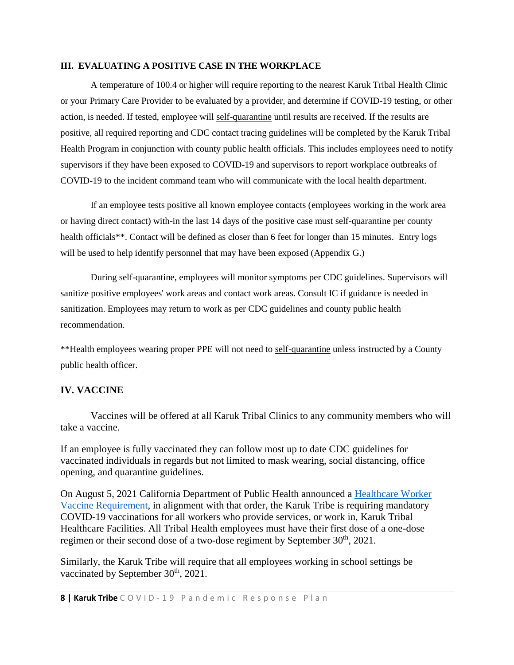#### **III. EVALUATING A POSITIVE CASE IN THE WORKPLACE**

A temperature of 100.4 or higher will require reporting to the nearest Karuk Tribal Health Clinic or your Primary Care Provider to be evaluated by a provider, and determine if COVID-19 testing, or other action, is needed. If tested, employee will self-quarantine until results are received. If the results are positive, all required reporting and CDC contact tracing guidelines will be completed by the Karuk Tribal Health Program in conjunction with county public health officials. This includes employees need to notify supervisors if they have been exposed to COVID-19 and supervisors to report workplace outbreaks of COVID-19 to the incident command team who will communicate with the local health department.

If an employee tests positive all known employee contacts (employees working in the work area or having direct contact) with-in the last 14 days of the positive case must self-quarantine per county health officials\*\*. Contact will be defined as closer than 6 feet for longer than 15 minutes. Entry logs will be used to help identify personnel that may have been exposed (Appendix G.)

During self-quarantine, employees will monitor symptoms per CDC guidelines. Supervisors will sanitize positive employees' work areas and contact work areas. Consult IC if guidance is needed in sanitization. Employees may return to work as per CDC guidelines and county public health recommendation.

\*\*Health employees wearing proper PPE will not need to self-quarantine unless instructed by a County public health officer.

### **IV. VACCINE**

Vaccines will be offered at all Karuk Tribal Clinics to any community members who will take a vaccine.

If an employee is fully vaccinated they can follow most up to date CDC guidelines for vaccinated individuals in regards but not limited to mask wearing, social distancing, office opening, and quarantine guidelines.

On August 5, 2021 California Department of Public Health announced a Healthcare Worker [Vaccine Requirement,](https://www.cdph.ca.gov/Programs/CID/DCDC/Pages/COVID-19/Order-of-the-State-Public-Health-Officer-Health-Care-Worker-Vaccine-Requirement.aspx) in alignment with that order, the Karuk Tribe is requiring mandatory COVID-19 vaccinations for all workers who provide services, or work in, Karuk Tribal Healthcare Facilities. All Tribal Health employees must have their first dose of a one-dose regimen or their second dose of a two-dose regiment by September 30<sup>th</sup>, 2021.

Similarly, the Karuk Tribe will require that all employees working in school settings be vaccinated by September 30<sup>th</sup>, 2021.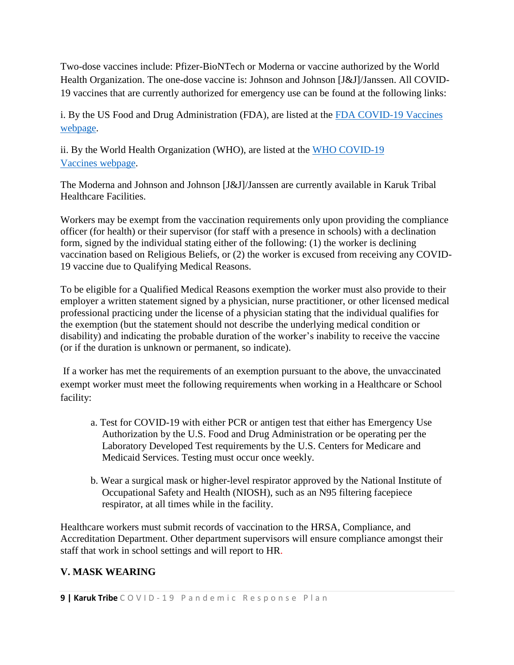Two-dose vaccines include: Pfizer-BioNTech or Moderna or vaccine authorized by the World Health Organization. The one-dose vaccine is: Johnson and Johnson [J&J]/Janssen. All COVID-19 vaccines that are currently authorized for emergency use can be found at the following links:

i. By the US Food and Drug Administration (FDA), are listed at the [FDA COVID-19 Vaccines](https://www.fda.gov/emergency-preparedness-and-response/coronavirus-disease-2019-covid-19/covid-19-vaccines)  [webpage.](https://www.fda.gov/emergency-preparedness-and-response/coronavirus-disease-2019-covid-19/covid-19-vaccines)

ii. By the World Health Organization (WHO), are listed at the [WHO COVID-19](https://extranet.who.int/pqweb/vaccines/covid-19-vaccines)  Vaccines [webpage.](https://extranet.who.int/pqweb/vaccines/covid-19-vaccines)

The Moderna and Johnson and Johnson [J&J]/Janssen are currently available in Karuk Tribal Healthcare Facilities.

Workers may be exempt from the vaccination requirements only upon providing the compliance officer (for health) or their supervisor (for staff with a presence in schools) with a declination form, signed by the individual stating either of the following: (1) the worker is declining vaccination based on Religious Beliefs, or (2) the worker is excused from receiving any COVID-19 vaccine due to Qualifying Medical Reasons.

To be eligible for a Qualified Medical Reasons exemption the worker must also provide to their employer a written statement signed by a physician, nurse practitioner, or other licensed medical professional practicing under the license of a physician stating that the individual qualifies for the exemption (but the statement should not describe the underlying medical condition or disability) and indicating the probable duration of the worker's inability to receive the vaccine (or if the duration is unknown or permanent, so indicate).

If a worker has met the requirements of an exemption pursuant to the above, the unvaccinated exempt worker must meet the following requirements when working in a Healthcare or School facility:

- a. Test for COVID-19 with either PCR or antigen test that either has Emergency Use Authorization by the U.S. Food and Drug Administration or be operating per the Laboratory Developed Test requirements by the U.S. Centers for Medicare and Medicaid Services. Testing must occur once weekly.
- b. Wear a surgical mask or higher-level respirator approved by the National Institute of Occupational Safety and Health (NIOSH), such as an N95 filtering facepiece respirator, at all times while in the facility.

Healthcare workers must submit records of vaccination to the HRSA, Compliance, and Accreditation Department. Other department supervisors will ensure compliance amongst their staff that work in school settings and will report to HR.

# **V. MASK WEARING**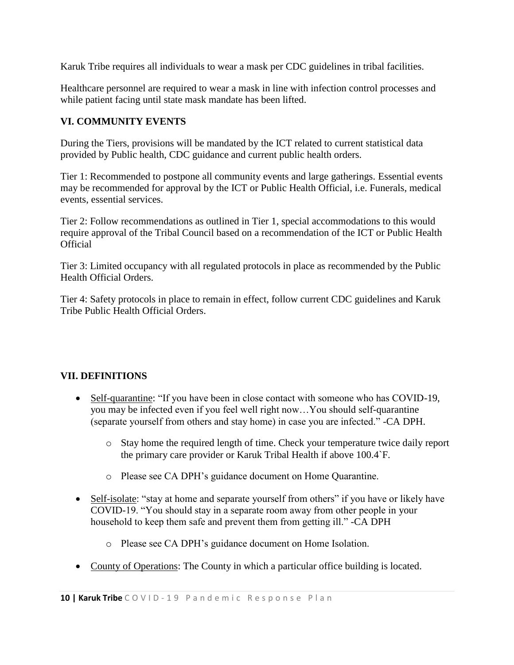Karuk Tribe requires all individuals to wear a mask per CDC guidelines in tribal facilities.

Healthcare personnel are required to wear a mask in line with infection control processes and while patient facing until state mask mandate has been lifted.

# **VI. COMMUNITY EVENTS**

During the Tiers, provisions will be mandated by the ICT related to current statistical data provided by Public health, CDC guidance and current public health orders.

Tier 1: Recommended to postpone all community events and large gatherings. Essential events may be recommended for approval by the ICT or Public Health Official, i.e. Funerals, medical events, essential services.

Tier 2: Follow recommendations as outlined in Tier 1, special accommodations to this would require approval of the Tribal Council based on a recommendation of the ICT or Public Health **Official** 

Tier 3: Limited occupancy with all regulated protocols in place as recommended by the Public Health Official Orders.

Tier 4: Safety protocols in place to remain in effect, follow current CDC guidelines and Karuk Tribe Public Health Official Orders.

## **VII. DEFINITIONS**

- Self-quarantine: "If you have been in close contact with someone who has COVID-19, you may be infected even if you feel well right now…You should self-quarantine (separate yourself from others and stay home) in case you are infected." -CA DPH.
	- o Stay home the required length of time. Check your temperature twice daily report the primary care provider or Karuk Tribal Health if above 100.4`F.
	- o Please see CA DPH's guidance document on Home Quarantine.
- Self-isolate: "stay at home and separate yourself from others" if you have or likely have COVID-19. "You should stay in a separate room away from other people in your household to keep them safe and prevent them from getting ill." -CA DPH
	- o Please see CA DPH's guidance document on Home Isolation.
- County of Operations: The County in which a particular office building is located.